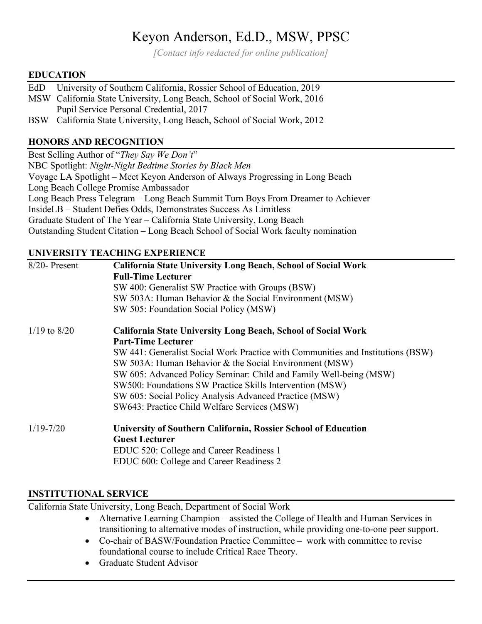# Keyon Anderson, Ed.D., MSW, PPSC

*[Contact info redacted for online publication]*

#### **EDUCATION**

- EdD University of Southern California, Rossier School of Education, 2019
- MSW California State University, Long Beach, School of Social Work, 2016 Pupil Service Personal Credential, 2017

BSW California State University, Long Beach, School of Social Work, 2012

### **HONORS AND RECOGNITION**

Best Selling Author of "*They Say We Don't*" NBC Spotlight: *Night-Night Bedtime Stories by Black Men* Voyage LA Spotlight – Meet Keyon Anderson of Always Progressing in Long Beach Long Beach College Promise Ambassador Long Beach Press Telegram – Long Beach Summit Turn Boys From Dreamer to Achiever InsideLB – Student Defies Odds, Demonstrates Success As Limitless Graduate Student of The Year – California State University, Long Beach Outstanding Student Citation – Long Beach School of Social Work faculty nomination

#### **UNIVERSITY TEACHING EXPERIENCE**

| $8/20$ - Present | <b>California State University Long Beach, School of Social Work</b><br><b>Full-Time Lecturer</b><br>SW 400: Generalist SW Practice with Groups (BSW)<br>SW 503A: Human Behavior & the Social Environment (MSW)<br>SW 505: Foundation Social Policy (MSW)                                                                                                                                                                                                                                  |
|------------------|--------------------------------------------------------------------------------------------------------------------------------------------------------------------------------------------------------------------------------------------------------------------------------------------------------------------------------------------------------------------------------------------------------------------------------------------------------------------------------------------|
| $1/19$ to $8/20$ | <b>California State University Long Beach, School of Social Work</b><br><b>Part-Time Lecturer</b><br>SW 441: Generalist Social Work Practice with Communities and Institutions (BSW)<br>SW 503A: Human Behavior & the Social Environment (MSW)<br>SW 605: Advanced Policy Seminar: Child and Family Well-being (MSW)<br>SW500: Foundations SW Practice Skills Intervention (MSW)<br>SW 605: Social Policy Analysis Advanced Practice (MSW)<br>SW643: Practice Child Welfare Services (MSW) |
| $1/19 - 7/20$    | University of Southern California, Rossier School of Education<br><b>Guest Lecturer</b><br>EDUC 520: College and Career Readiness 1<br>EDUC 600: College and Career Readiness 2                                                                                                                                                                                                                                                                                                            |

#### **INSTITUTIONAL SERVICE**

California State University, Long Beach, Department of Social Work

- Alternative Learning Champion assisted the College of Health and Human Services in transitioning to alternative modes of instruction, while providing one-to-one peer support.
- Co-chair of BASW/Foundation Practice Committee work with committee to revise foundational course to include Critical Race Theory.
- Graduate Student Advisor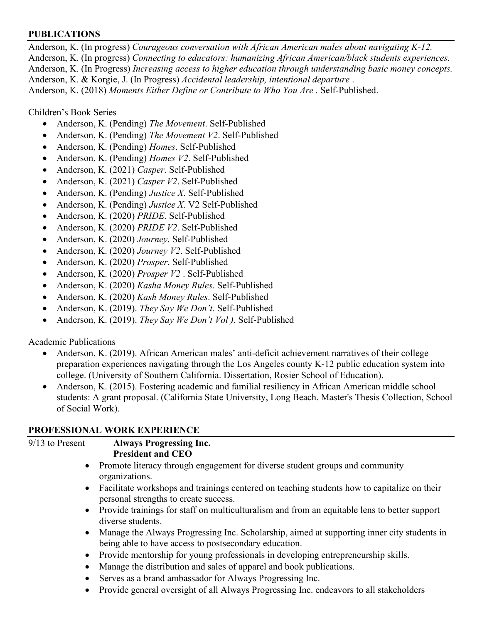#### **PUBLICATIONS**

Anderson, K. (In progress) *Courageous conversation with African American males about navigating K-12.*  Anderson, K. (In progress) *Connecting to educators: humanizing African American/black students experiences.*  Anderson, K. (In Progress) *Increasing access to higher education through understanding basic money concepts.*  Anderson, K. & Korgie, J. (In Progress) *Accidental leadership, intentional departure* . Anderson, K. (2018) Moments Either Define or Contribute to Who You Are . Self-Published.

Children's Book Series

- Anderson, K. (Pending) *The Movement*. Self-Published
- Anderson, K. (Pending) *The Movement V2*. Self-Published
- Anderson, K. (Pending) *Homes*. Self-Published
- Anderson, K. (Pending) *Homes V2*. Self-Published
- Anderson, K. (2021) *Casper*. Self-Published
- Anderson, K. (2021) *Casper V2*. Self-Published
- Anderson, K. (Pending) *Justice X*. Self-Published
- Anderson, K. (Pending) *Justice X*. V2 Self-Published
- Anderson, K. (2020) *PRIDE*. Self-Published
- Anderson, K. (2020) *PRIDE V2*. Self-Published
- Anderson, K. (2020) *Journey*. Self-Published
- Anderson, K. (2020) *Journey V2*. Self-Published
- Anderson, K. (2020) *Prosper*. Self-Published
- Anderson, K. (2020) *Prosper V2* . Self-Published
- Anderson, K. (2020) *Kasha Money Rules*. Self-Published
- Anderson, K. (2020) *Kash Money Rules*. Self-Published
- Anderson, K. (2019). *They Say We Don't*. Self-Published
- Anderson, K. (2019). *They Say We Don't Vol )*. Self-Published

Academic Publications

- Anderson, K. (2019). African American males' anti-deficit achievement narratives of their college preparation experiences navigating through the Los Angeles county K-12 public education system into college. (University of Southern California. Dissertation, Rosier School of Education).
- Anderson, K. (2015). Fostering academic and familial resiliency in African American middle school students: A grant proposal. (California State University, Long Beach. Master's Thesis Collection, School of Social Work).

#### **PROFESSIONAL WORK EXPERIENCE**

| $9/13$ to Present | <b>Always Progressing Inc.</b>                                                                                                                      |
|-------------------|-----------------------------------------------------------------------------------------------------------------------------------------------------|
|                   | <b>President and CEO</b>                                                                                                                            |
| $\bullet$         | Promote literacy through engagement for diverse student groups and community<br>organizations.                                                      |
| $\bullet$         | Facilitate workshops and trainings centered on teaching students how to capitalize on their<br>personal strengths to create success.                |
| $\bullet$         | Provide trainings for staff on multiculturalism and from an equitable lens to better support<br>diverse students.                                   |
| $\bullet$         | Manage the Always Progressing Inc. Scholarship, aimed at supporting inner city students in<br>being able to have access to postsecondary education. |
| $\bullet$         | Provide mentorship for young professionals in developing entrepreneurship skills.                                                                   |
| $\bullet$         | Manage the distribution and sales of apparel and book publications.                                                                                 |
| $\bullet$         | Serves as a brand ambassador for Always Progressing Inc.                                                                                            |
|                   |                                                                                                                                                     |

• Provide general oversight of all Always Progressing Inc. endeavors to all stakeholders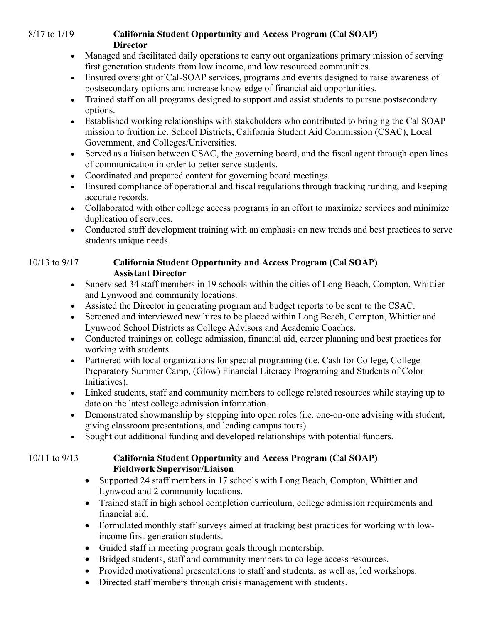### 8/17 to 1/19 **California Student Opportunity and Access Program (Cal SOAP) Director**

- Managed and facilitated daily operations to carry out organizations primary mission of serving first generation students from low income, and low resourced communities.
- Ensured oversight of Cal-SOAP services, programs and events designed to raise awareness of postsecondary options and increase knowledge of financial aid opportunities.
- Trained staff on all programs designed to support and assist students to pursue postsecondary options.
- Established working relationships with stakeholders who contributed to bringing the Cal SOAP mission to fruition i.e. School Districts, California Student Aid Commission (CSAC), Local Government, and Colleges/Universities.
- Served as a liaison between CSAC, the governing board, and the fiscal agent through open lines of communication in order to better serve students.
- Coordinated and prepared content for governing board meetings.
- Ensured compliance of operational and fiscal regulations through tracking funding, and keeping accurate records.
- Collaborated with other college access programs in an effort to maximize services and minimize duplication of services.
- Conducted staff development training with an emphasis on new trends and best practices to serve students unique needs.

## 10/13 to 9/17 **California Student Opportunity and Access Program (Cal SOAP) Assistant Director**

- Supervised 34 staff members in 19 schools within the cities of Long Beach, Compton, Whittier and Lynwood and community locations.
- Assisted the Director in generating program and budget reports to be sent to the CSAC.
- Screened and interviewed new hires to be placed within Long Beach, Compton, Whittier and Lynwood School Districts as College Advisors and Academic Coaches.
- Conducted trainings on college admission, financial aid, career planning and best practices for working with students.
- Partnered with local organizations for special programing (i.e. Cash for College, College Preparatory Summer Camp, (Glow) Financial Literacy Programing and Students of Color Initiatives).
- Linked students, staff and community members to college related resources while staying up to date on the latest college admission information.
- Demonstrated showmanship by stepping into open roles (i.e. one-on-one advising with student, giving classroom presentations, and leading campus tours).
- Sought out additional funding and developed relationships with potential funders.

## 10/11 to 9/13 **California Student Opportunity and Access Program (Cal SOAP) Fieldwork Supervisor/Liaison**

- Supported 24 staff members in 17 schools with Long Beach, Compton, Whittier and Lynwood and 2 community locations.
- Trained staff in high school completion curriculum, college admission requirements and financial aid.
- Formulated monthly staff surveys aimed at tracking best practices for working with lowincome first-generation students.
- Guided staff in meeting program goals through mentorship.
- Bridged students, staff and community members to college access resources.
- Provided motivational presentations to staff and students, as well as, led workshops.
- Directed staff members through crisis management with students.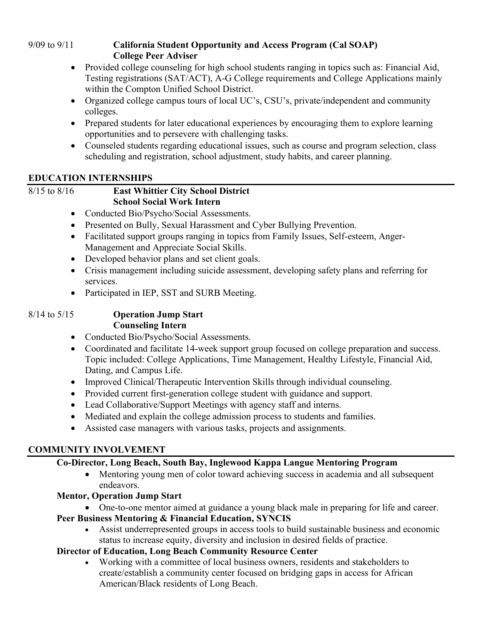### 9/09 to 9/11 **California Student Opportunity and Access Program (Cal SOAP) College Peer Adviser**

- Provided college counseling for high school students ranging in topics such as: Financial Aid, Testing registrations (SAT/ACT), A-G College requirements and College Applications mainly within the Compton Unified School District.
- Organized college campus tours of local UC's, CSU's, private/independent and community colleges.
- Prepared students for later educational experiences by encouraging them to explore learning opportunities and to persevere with challenging tasks.
- Counseled students regarding educational issues, such as course and program selection, class scheduling and registration, school adjustment, study habits, and career planning.

## **EDUCATION INTERNSHIPS**

## 8/15 to 8/16 **East Whittier City School District School Social Work Intern**

- Conducted Bio/Psycho/Social Assessments.
- Presented on Bully, Sexual Harassment and Cyber Bullying Prevention.
- Facilitated support groups ranging in topics from Family Issues, Self-esteem, Anger-Management and Appreciate Social Skills.
- Developed behavior plans and set client goals.
- Crisis management including suicide assessment, developing safety plans and referring for services.
- Participated in IEP, SST and SURB Meeting.

## 8/14 to 5/15 **Operation Jump Start Counseling Intern**

- Conducted Bio/Psycho/Social Assessments.
- Coordinated and facilitate 14-week support group focused on college preparation and success. Topic included: College Applications, Time Management, Healthy Lifestyle, Financial Aid, Dating, and Campus Life.
- Improved Clinical/Therapeutic Intervention Skills through individual counseling.
- Provided current first-generation college student with guidance and support.
- Lead Collaborative/Support Meetings with agency staff and interns.
- Mediated and explain the college admission process to students and families.
- Assisted case managers with various tasks, projects and assignments.

## **COMMUNITY INVOLVEMENT**

## **Co-Director, Long Beach, South Bay, Inglewood Kappa Langue Mentoring Program**

• Mentoring young men of color toward achieving success in academia and all subsequent endeavors.

## **Mentor, Operation Jump Start**

• One-to-one mentor aimed at guidance a young black male in preparing for life and career.

## **Peer Business Mentoring & Financial Education, SYNCIS**

• Assist underrepresented groups in access tools to build sustainable business and economic status to increase equity, diversity and inclusion in desired fields of practice.

## **Director of Education, Long Beach Community Resource Center**

• Working with a committee of local business owners, residents and stakeholders to create/establish a community center focused on bridging gaps in access for African American/Black residents of Long Beach.